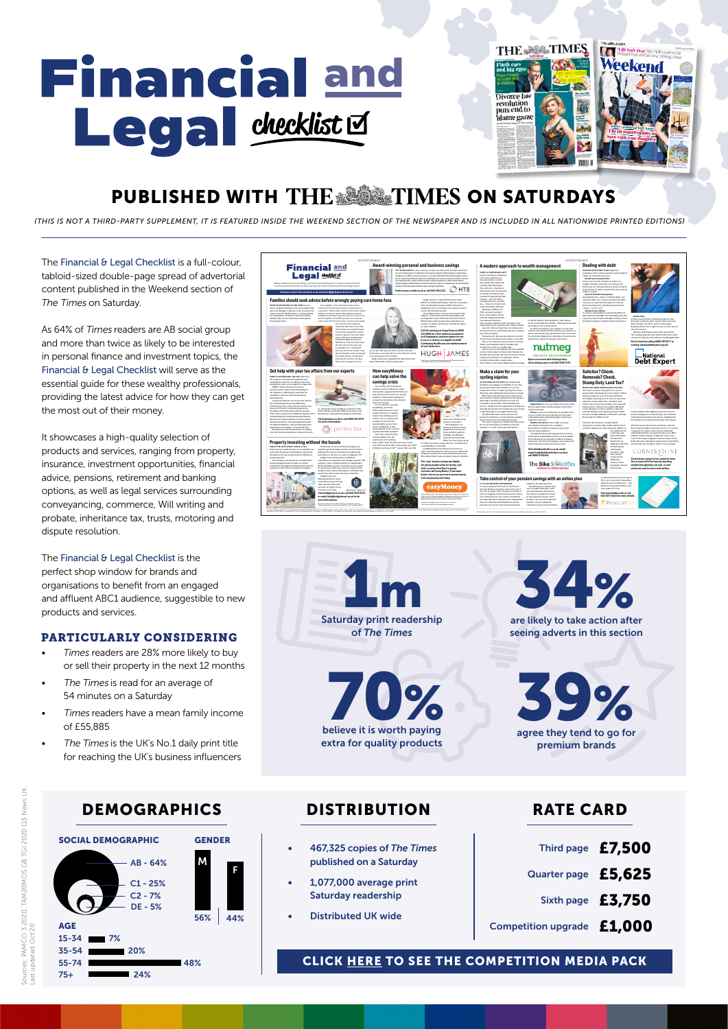# **Financial and** Legal checklist<sup>Id</sup>

| <b>THE SECTIMES</b>                                    | <b>THE ABILITIMES</b>                                                                                      |
|--------------------------------------------------------|------------------------------------------------------------------------------------------------------------|
| <b>SCILEDO</b>                                         | "Life isn't easy"Alex Hollywood on h<br>husband Paul and her new cooking care                              |
| The great<br><b>Flash cars</b><br>and big egos         | Weekend                                                                                                    |
| Peter Crouch<br>on super-rich<br>footballers           |                                                                                                            |
| <b>Divorce law</b><br>revolution                       |                                                                                                            |
| puts end to<br>blame game                              |                                                                                                            |
|                                                        | Self les, sexting and body image<br>The 10 conversations to<br>have with your daughter<br><b>FEBRUAR</b> 1 |
|                                                        |                                                                                                            |
| the first thing the street are will in decade starting | <b>Investor</b>                                                                                            |

# PUBLISHED WITH THE SALE TIMES ON SATURDAYS

*(THIS IS NOT A THIRD-PARTY SUPPLEMENT, IT IS FEATURED INSIDE THE WEEKEND SECTION OF THE NEWSPAPER AND IS INCLUDED IN ALL NATIONWIDE PRINTED EDITIONS)*

The Financial & Legal Checklist is a full-colour. tabloid-sized double-page spread of advertorial content published in the Weekend section of *The* Times on Saturday.

As 64% of *Times* readers are AB social group and more than twice as likely to be interested in personal finance and investment topics, the Financial & Legal Checklist will serve as the essential guide for these wealthy professionals, providing the latest advice for how they can get the most out of their money.

It showcases a high-quality selection of products and services, ranging from property, insurance, investment opportunities, financial advice, pensions, retirement and banking options, as well as legal services surrounding conveyancing, commerce, Will writing and probate, inheritance tax, trusts, motoring and dispute resolution.

The Financial & Legal Checklist is the perfect shop window for brands and organisations to benefit from an engaged and affluent ABC1 audience, suggestible to new products and services.

## PARTICULARLY CONSIDERING

- *• Times* readers are 28% more likely to buy or sell their property in the next 12 months
- The Times is read for an average of 54 minutes on a Saturday
- Times readers have a mean family income of £55,885
- The Times is the UK's No.1 daily print title for reaching the UK's business influencers

## DEMOGRAPHICS DISTRIBUTION







extra for quality products



agree they tend to go for premium brands 39%

- 467,325 copies of *The Times* published on a Saturday
- 1,077,000 average print Saturday readership
- Distributed UK wide

## RATE CARD

|                            | Third page £7,500 |
|----------------------------|-------------------|
| Quarter page £5,625        |                   |
|                            | Sixth page £3,750 |
| ipetition upgrade $£1,000$ |                   |

[CLICK HERE TO SEE THE COMPETITION MEDIA PACK](https://www.hurstmediacompany.co.uk/wp-content/uploads/2020/08/Competitions-published-with-the-national-press-and-Hurst-Media.pdf)

Con